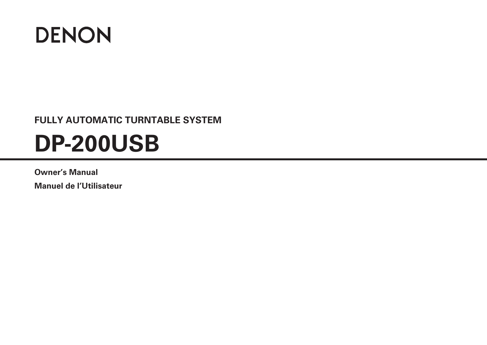

## **FULLY AUTOMATIC TURNTABLE SYSTEM**

# **DP-200USB**

## **Owner's Manual**

**Manuel de l'Utilisateur**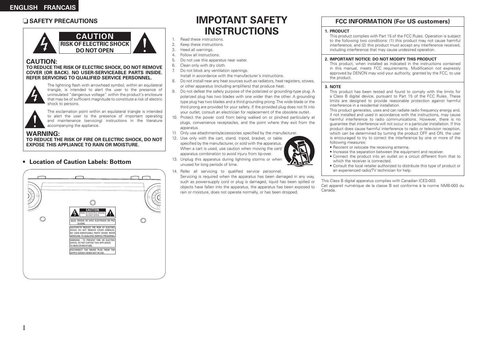#### n **SAFETY PRECAUTIONS**



#### **CAUTION:**

#### **TO REDUCE THE RISK OF ELECTRIC SHOCK, DO NOT REMOVE COVER (OR BACK). NO USER-SERVICEABLE PARTS INSIDE. REFER SERVICING TO QUALIFIED SERVICE PERSONNEL.**



The lightning flash with arrowhead symbol, within an equilateral triangle, is intended to alert the user to the presence of uninsulated "dangerous voltage" within the product's enclosure that may be of sufficient magnitude to constitute a risk of electric shock to persons.



I

The exclamation point within an equilateral triangle is intended to alert the user to the presence of important operating and maintenance (servicing) instructions in the literature accompanying the appliance.

#### **WARNING:**

**TO REDUCE THE RISK OF FIRE OR ELECTRIC SHOCK, DO NOT EXPOSE THIS APPLIANCE TO RAIN OR MOISTURE.**

#### **• Location of Caution Labels: Bottom**



## **IMPOTANT SAFETY INSTRUCTIONS**

- 1. Read these instructions.
- 2. Keep these instructions.
- 3. Heed all warnings.
- 4. Follow all instructions.
- 5. Do not use this apparatus near water.
- 6. Clean only with dry cloth.
- 7. Do not block any ventilation openings. Install in accordance with the manufacturer's instructions.
- 8. Do not install near any heat sources such as radiators, heat registers, stoves, or other apparatus (including amplifiers) that produce heat.
- 9. Do not defeat the safety purpose of the polarized or grounding-type plug. A polarized plug has two blades with one wider than the other. A grounding type plug has two blades and a third grounding prong. The wide blade or the third prong are provided for your safety. If the provided plug does not fit into your outlet, consult an electrician for replacement of the obsolete outlet.
- 10. Protect the power cord from being walked on or pinched particularly at plugs, convenience receptacles, and the point where they exit from the apparatus.
- 11. Only use attachments/accessories specified by the manufacturer.
- 12. Use only with the cart, stand, tripod, bracket, or table specified by the manufacturer, or sold with the apparatus. When a cart is used, use caution when moving the cart/ apparatus combination to avoid injury from tip-over.
- 13. Unplug this apparatus during lightning storms or when unused for long periods of time.
- 14. Refer all servicing to qualified service personnel

Servicing is required when the apparatus has been damaged in any way, such as power-supply cord or plug is damaged, liquid has been spilled or objects have fallen into the apparatus, the apparatus has been exposed to rain or moisture, does not operate normally, or has been dropped.

#### **FCC INFORMATION (For US customers)**

#### **1. PRODUCT**

This product complies with Part 15 of the FCC Rules. Operation is subject to the following two conditions: (1) this product may not cause harmful interference, and (2) this product must accept any interference received, including interference that may cause undesired operation.

#### **2. IMPORTANT NOTICE: DO NOT MODIFY THIS PRODUCT**

This product, when installed as indicated in the instructions contained in this manual, meets FCC requirements. Modification not expressly approved by DENON may void your authority, granted by the FCC, to use the product.

#### **3. NOTE**

This product has been tested and found to comply with the limits for a Class B digital device, pursuant to Part 15 of the FCC Rules. These limits are designed to provide reasonable protection against harmful interference in a residential installation.

This product generates, uses and can radiate radio frequency energy and, if not installed and used in accordance with the instructions, may cause harmful interference to radio communications. However, there is no guarantee that interference will not occur in a particular installation. If this product does cause harmful interference to radio or television reception, which can be determined by turning the product OFF and ON, the user is encouraged to try to correct the interference by one or more of the following measures:

- Reorient or relocate the receiving antenna.
- Increase the separation between the equipment and receiver.
- Connect the product into an outlet on a circuit different from that to which the receiver is connected.
- Consult the local retailer authorized to distribute this type of product or an experienced radio/TV technician for help.

This Class B digital apparatus complies with Canadian ICES-003.

Cet appareil numérique de la classe B est conforme à la norme NMB-003 du Canada.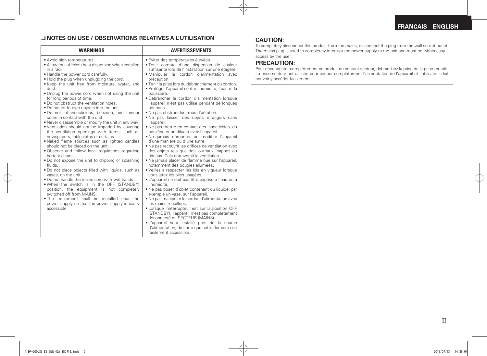#### n **NOTES ON USE / OBSERVATIONS RELATIVES A L'UTILISATION CAUTION:**

| <b>WARNINGS</b>                                                                                                                                                                                                                                                                                                                                                                                                                                                                                                                                                                                                                                                                                                                                                                                                                                                                                                                                                                                                                                                                                                                                                                                                                                                                                                       | <b>AVERTISSEMENTS</b>                                                                                                                                                                                                                                                                                                                                                                                                                                                                                                                                                                                                                                                                                                                                                                                                                                                                                                                                                                                                                                                                                                                                                                                                                                                                                                                                                                                                                                                                                                                                                           |
|-----------------------------------------------------------------------------------------------------------------------------------------------------------------------------------------------------------------------------------------------------------------------------------------------------------------------------------------------------------------------------------------------------------------------------------------------------------------------------------------------------------------------------------------------------------------------------------------------------------------------------------------------------------------------------------------------------------------------------------------------------------------------------------------------------------------------------------------------------------------------------------------------------------------------------------------------------------------------------------------------------------------------------------------------------------------------------------------------------------------------------------------------------------------------------------------------------------------------------------------------------------------------------------------------------------------------|---------------------------------------------------------------------------------------------------------------------------------------------------------------------------------------------------------------------------------------------------------------------------------------------------------------------------------------------------------------------------------------------------------------------------------------------------------------------------------------------------------------------------------------------------------------------------------------------------------------------------------------------------------------------------------------------------------------------------------------------------------------------------------------------------------------------------------------------------------------------------------------------------------------------------------------------------------------------------------------------------------------------------------------------------------------------------------------------------------------------------------------------------------------------------------------------------------------------------------------------------------------------------------------------------------------------------------------------------------------------------------------------------------------------------------------------------------------------------------------------------------------------------------------------------------------------------------|
| • Avoid high temperatures.<br>• Allow for sufficient heat dispersion when installed<br>in a rack.<br>. Handle the power cord carefully.<br>. Hold the plug when unplugging the cord.<br>. Keep the unit free from moisture, water, and<br>dust.<br>. Unplug the power cord when not using the unit<br>for long periods of time.<br>. Do not obstruct the ventilation holes.<br>. Do not let foreign objects into the unit.<br>. Do not let insecticides, benzene, and thinner<br>come in contact with the unit.<br>• Never disassemble or modify the unit in any way.<br>. Ventilation should not be impeded by covering<br>the ventilation openings with items, such as<br>newspapers, tablecloths or curtains.<br>. Naked flame sources such as lighted candles<br>should not be placed on the unit.<br>. Observe and follow local regulations regarding<br>battery disposal.<br>• Do not expose the unit to dripping or splashing<br>fluids<br>. Do not place objects filled with liquids, such as<br>vases, on the unit.<br>• Do not handle the mains cord with wet hands.<br>. When the switch is in the OFF (STANDBY)<br>position, the equipment is not completely<br>switched off from MAINS.<br>. The equipment shall be installed near the<br>power supply so that the power supply is easily<br>accessible. | • Eviter des températures élevées.<br>. Tenir compte d'une dispersion de chaleur<br>suffisante lors de l'installation sur une étagère.<br>· Manipuler le cordon d'alimentation avec<br>précaution.<br>· Tenir la prise lors du débranchement du cordon.<br>· Protéger l'appareil contre l'humidité, l'eau et la<br>poussière.<br>· Débrancher le cordon d'alimentation lorsque<br>l'appareil n'est pas utilisé pendant de longues<br>périodes.<br>• Ne pas obstruer les trous d'aération.<br>. Ne pas laisser des objets étrangers dans<br>l'appareil.<br>• Ne pas mettre en contact des insecticides, du<br>benzène et un diluant avec l'appareil.<br>· Ne jamais démonter ou modifier l'appareil<br>d'une manière ou d'une autre.<br>• Ne pas recouvrir les orifices de ventilation avec<br>des objets tels que des journaux, nappes ou<br>rideaux. Cela entraverait la ventilation.<br>• Ne jamais placer de flamme nue sur l'appareil,<br>notamment des bougies allumées.<br>· Veillez à respecter les lois en vigueur lorsque<br>vous jetez les piles usagées.<br>• L'appareil ne doit pas être exposé à l'eau ou à<br>l'humidité.<br>. Ne pas poser d'objet contenant du liquide, par<br>exemple un vase, sur l'appareil.<br>• Ne pas manipuler le cordon d'alimentation avec<br>les mains mouillées.<br>• Lorsque l'interrupteur est sur la position OFF<br>(STANDBY), l'appareil n'est pas complètement<br>déconnecté du SECTEUR (MAINS).<br>• L'appareil sera installé près de la source<br>d'alimentation, de sorte que cette dernière soit<br>facilement accessible. |

To completely disconnect this product from the mains, disconnect the plug from the wall socket outlet. The mains plug is used to completely interrupt the power supply to the unit and must be within easy access by the user.

#### **PRECAUTION:**

Pour déconnecter complètement ce produit du courant secteur, débranchez la prise de la prise murale. La prise secteur est utilisée pour couper complètement l'alimentation de l'appareil et l'utilisateur doit pouvoir y accéder facilement.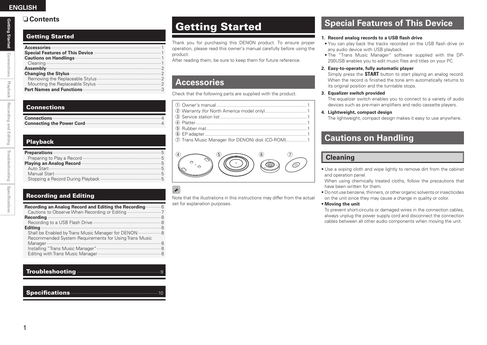#### n **Contents**

### Getting Started

| <b>Changing the Stylus measure continuum control of the Stylus measure of the Stylus measure of the Stylus measure of the Stylus measurement of the Stylus measurement of the Stylus measurement of the Stylus measurement.</b> |  |
|---------------------------------------------------------------------------------------------------------------------------------------------------------------------------------------------------------------------------------|--|
|                                                                                                                                                                                                                                 |  |
|                                                                                                                                                                                                                                 |  |
|                                                                                                                                                                                                                                 |  |
|                                                                                                                                                                                                                                 |  |

#### **Connections**

## Playback

| Preparations <b>Executive Street Engineering Street Street Street Street Street Street Street Street Street Street Street Street Street Street Street Street Street Street Street Street Street Street Street Street Street Stre</b> |
|--------------------------------------------------------------------------------------------------------------------------------------------------------------------------------------------------------------------------------------|
|                                                                                                                                                                                                                                      |
| Playing an Analog Record <b>Manufacture Contract Contract Contract Contract Contract Contract Contract Contract Contract Contract Contract Contract Contract Contract Contract Contract Contract Contract Contract Contract Cont</b> |
|                                                                                                                                                                                                                                      |
|                                                                                                                                                                                                                                      |
|                                                                                                                                                                                                                                      |

#### Recording and Editing

| Recording an Analog Record and Editing the Recording <b>manufolian Recording</b>                              |  |
|---------------------------------------------------------------------------------------------------------------|--|
|                                                                                                               |  |
|                                                                                                               |  |
|                                                                                                               |  |
| Shall be Enabled by Trans Music Manager for DENON  8<br>Recommended System Requirements for Using Trans Music |  |
|                                                                                                               |  |
|                                                                                                               |  |
|                                                                                                               |  |

#### Troubleshooting ·································································9

#### Specifications **Access 2019**

Thank you for purchasing this DENON product. To ensure proper operation, please read this owner's manual carefully before using the product.

After reading them, be sure to keep them for future reference.

## **Accessories**

Check that the following parts are supplied with the product.

| 7) Trans Music Manager (for DENON) disk (CD-ROM) 1 |  |
|----------------------------------------------------|--|



#### $\overline{\mathscr{E}}$ Note that the illustrations in this instructions may differ from the actual set for explanation purposes.

## Getting Started **Superify Started** Special Features of This Device

#### **1. Record analog records to a USB flash drive**

- You can play back the tracks recorded on the USB flash drive on any audio device with USB playback.
- The "Trans Music Manager" software supplied with the DP-200USB enables you to edit music files and titles on your PC.

#### **2. Easy-to-operate, fully automatic player**

Simply press the **START** button to start playing an analog record. When the record is finished the tone arm automatically returns to its original position and the turntable stops.

#### **3. Equalizer switch provided**

The equalizer switch enables you to connect to a variety of audio devices such as pre-main amplifiers and radio cassette players.

#### **4. Lightweight, compact design**

The lightweight, compact design makes it easy to use anywhere.

## **Cautions on Handling**

#### **Cleaning**

• Use a wiping cloth and wipe lightly to remove dirt from the cabinet and operation panel.

When using chemically treated cloths, follow the precautions that have been written for them.

- Do not use benzene, thinners, or other organic solvents or insecticides on the unit since they may cause a change in quality or color.
- **Moving the unit**

To prevent short-circuits or damaged wires in the connection cables, always unplug the power supply cord and disconnect the connection cables between all other audio components when moving the unit.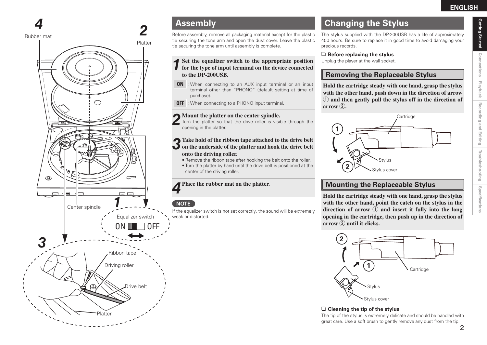# Getting Started **Getting Started**

Connections **Connections Playback** Recording and Editing **Recording and Editing**

Troubleshooting **Troubleshooting** Specifications **Specifications**

 $\bigcap$  $\circledcirc$  $\Box$ **1** Center spindle Equalizer switch ON IIIII **3** Ribbon tape Driving roller  $\odot$ 

Platter

Drive belt

 $\Rightarrow$ 

Rubber mat

Platter

**2**

Before assembly, remove all packaging material except for the plastic tie securing the tone arm and open the dust cover. Leave the plastic tie securing the tone arm until assembly is complete.

## **1Set the equalizer switch to the appropriate position for the type of input terminal on the device connected to the DP-200USB.**

- **ON** : When connecting to an AUX input terminal or an input terminal other than "PHONO" (default setting at time of purchase).
- **OFF** : When connecting to a PHONO input terminal.

#### **2 Mount the platter on the center spindle.**

Turn the platter so that the drive roller is visible through the opening in the platter.

## **3 Take hold of the ribbon tape attached to the drive belt on the underside of the platter and hook the drive belt onto the driving roller.**

- Remove the ribbon tape after hooking the belt onto the roller. • Turn the platter by hand until the drive belt is positioned at the
- center of the driving roller.

#### **4 Place the rubber mat on the platter.**

#### **NOTE**

If the equalizer switch is not set correctly, the sound will be extremely weak or distorted.

## **4 Assembly Changing the Stylus**

The stylus supplied with the DP-200USB has a life of approximately 400 hours. Be sure to replace it in good time to avoid damaging your precious records.

#### $\Box$  **Before replacing the stylus**

Unplug the player at the wall socket.

#### **Removing the Replaceable Stylus**

**Hold the cartridge steady with one hand, grasp the stylus with the other hand, push down in the direction of arrow**  q **and then gently pull the stylus off in the direction of**   $\mathbf{arrow}$   $\mathbf{Q}$ .



## **Mounting the Replaceable Stylus**

**Hold the cartridge steady with one hand, grasp the stylus with the other hand, point the catch on the stylus in the**  direction of arrow  $\left(\frac{1}{2}\right)$  and insert it fully into the long **opening in the cartridge, then push up in the direction of arrow**  $\widehat{2}$  **until it clicks.** 



**□ Cleaning the tip of the stylus** 

The tip of the stylus is extremely delicate and should be handled with great care. Use a soft brush to gently remove any dust from the tip.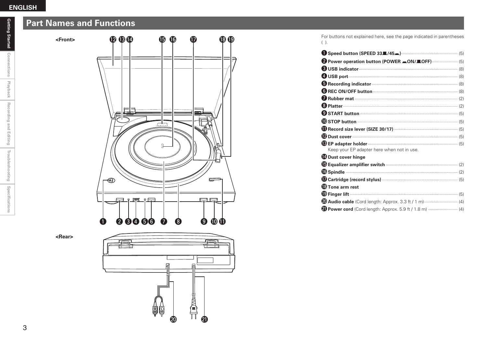#### **ENGLISH**

## **Part Names and Functions**

**<Front>**



**<Rear>**



Q2Q3Q4 Q5Q6 Q7 Q8Q9 For buttons not explained here, see the page indicated in parentheses  $( )$ .

| <b>8 USB indicator</b> (8)                 |
|--------------------------------------------|
| <b>USB</b> port (8)                        |
| Recording indicator (8)                    |
|                                            |
|                                            |
| <b>&amp; Platter</b> (2)                   |
| $\bullet$ START button $(5)$               |
|                                            |
|                                            |
|                                            |
| Keep your EP adapter here when not in use. |
| <b>Dust cover hinge</b>                    |
|                                            |
|                                            |
|                                            |
| <b>C</b> Tone arm rest                     |
|                                            |
|                                            |
|                                            |

Getting Started **Getting Started**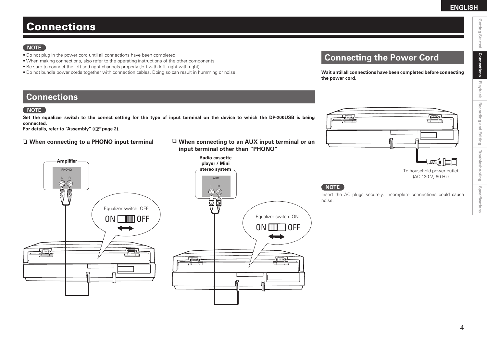Getting Started

**Connections**

**Connections** 

Playback **Recording and Editing** 

**Recording and Editing**

**Troubleshooting**

Troubleshooting

**Specifications**

Specifications

## Connections

#### **NOTE**

- Do not plug in the power cord until all connections have been completed.
- When making connections, also refer to the operating instructions of the other components.
- Be sure to connect the left and right channels properly (left with left, right with right).
- Do not bundle power cords together with connection cables. Doing so can result in humming or noise.

## **Connecting the Power Cord**

**Wait until all connections have been completed before connecting the power cord.**

#### **Connections**

#### **NOTE**

**Set the equalizer switch to the correct setting for the type of input terminal on the device to which the DP-200USB is being connected.**

**For details, refer to "Assembly" (**v**page 2).**

#### $\Box$  **When connecting to a PHONO input terminal**





ON **MINT** OFF Equalizer switch: ON





(AC 120 V, 60 Hz)

#### **NOTE**

Insert the AC plugs securely. Incomplete connections could cause noise.

 $\boldsymbol{\Delta}$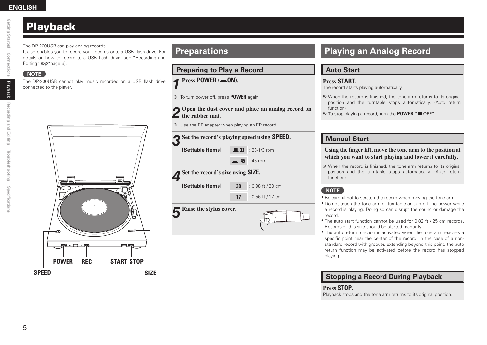#### **ENGLISH**

## Playback

The DP-200USB can play analog records.

It also enables you to record your records onto a USB flash drive. For details on how to record to a USB flash drive, see "Recording and Editing" ( $\sqrt{p}$ page 6).

#### **NOTE**

The DP-200USB cannot play music recorded on a USB flash drive connected to the player.

# $\theta$  $\Box \circ \blacksquare \circ \Box$ --**POWER REC START STOP SPEED SIZE**

## **Preparations**

**Preparing to Play a Record**

**1 Press POWER** (*m***\_ON).** 

 $\frac{1}{2}$  To turn power off, press **POWER** again.

|  |  |  |  | 2 Open the dust cover and place an analog record on<br>the rubber mat. |  |
|--|--|--|--|------------------------------------------------------------------------|--|
|  |  |  |  |                                                                        |  |

 $*$  Use the EP adapter when playing an EP record.

| Set the record's playing speed using <b>SPEED</b> . |                   |                      |  |  |  |  |  |
|-----------------------------------------------------|-------------------|----------------------|--|--|--|--|--|
| [Settable Items]                                    | $\blacksquare$ 33 | $: 33-1/3$ rpm       |  |  |  |  |  |
|                                                     |                   | $\equiv 45 : 45$ rpm |  |  |  |  |  |
| Set the record's size using SIZE.                   |                   |                      |  |  |  |  |  |
|                                                     |                   |                      |  |  |  |  |  |
| [Settable Items]                                    | 30                | $: 0.98$ ft / 30 cm  |  |  |  |  |  |

**5 Raise the stylus cover.**



## **Playing an Analog Record**

#### **Auto Start**

**Press START.** The record starts playing automatically.

- \* When the record is finished, the tone arm returns to its original position and the turntable stops automatically. (Auto return function)
- $\mathcal X$  To stop playing a record, turn the **POWER** "LOFF".

#### **Manual Start**

#### **Using the finger lift, move the tone arm to the position at which you want to start playing and lower it carefully.**

\* When the record is finished, the tone arm returns to its original position and the turntable stops automatically. (Auto return function)

#### **NOTE**

- Be careful not to scratch the record when moving the tone arm.
- Do not touch the tone arm or turntable or turn off the power while a record is playing. Doing so can disrupt the sound or damage the record.
- The auto start function cannot be used for 0.82 ft / 25 cm records. Records of this size should be started manually.
- The auto return function is activated when the tone arm reaches a specific point near the center of the record. In the case of a nonstandard record with grooves extending beyond this point, the auto return function may be activated before the record has stopped playing.

#### **Stopping a Record During Playback**

#### **Press STOP.**

Playback stops and the tone arm returns to its original position.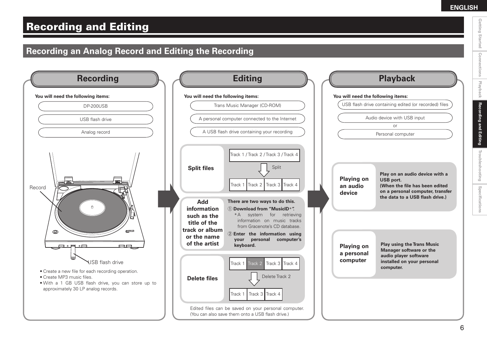Getting Started

**Connections**

Connections

**Playback**

**Recording and Editing**

**Recording and Editing** 

**Troubleshooting**

Troubleshooting

**Specifications**

Specifications

## Recording and Editing

## **Recording an Analog Record and Editing the Recording**

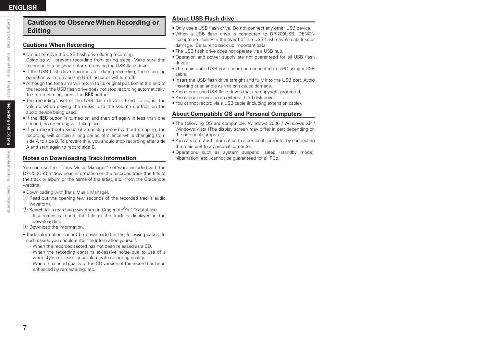#### **Cautions to Observe When Recording or Editing**

#### **Cautions When Recording**

- Do not remove the USB flash drive during recording. Doing so will prevent recording from taking place. Make sure that recording has finished before removing the USB flash drive.
- If the USB flash drive becomes full during recording, the recording operation will stop and the USB indicator will turn off.
- Although the tone arm will return to its original position at the end of the record, the USB flash drive does not stop recording automatically. To stop recording, press the **REC** button.
- The recording level of the USB flash drive is fixed. To adjust the volume when playing the music, use the volume controls on the audio device being used.
- If the **REC** button is turned on and then off again in less than one second, no recording will take place.
- If you record both sides of an analog record without stopping, the recording will contain a long period of silence while changing from side A to side B. To prevent this, you should stop recording after side A and start again to record side B.

#### **Notes on Downloading Track Information**

You can use the "Trans Music Manager" software included with the DP-200USB to download information on the recorded track (the title of the track or album or the name of the artist, etc.) from the Gracenote website.

- Downloading with Trans Music Manager.
- (1) Read out the opening few seconds of the recorded track's audio waveform.
- $\Omega$  Search for a matching waveform in Gracenote®'s CD database.
	- ∙ If a match is found, the title of the track is displayed in the download list.
- **3** Download the information.
- Track information cannot be downloaded in the following cases. In such cases, you should enter the information yourself.
	- ∙ When the recorded record has not been released as a CD.
	- ∙ When the recording contains excessive noise due to use of a worn stylus or a similar problem with recording quality.
	- ∙ When the sound quality of the CD version of the record has been enhanced by remastering, etc.

#### **About USB Flash drive**

- Only use a USB flash drive. Do not connect any other USB device.
- When a USB flash drive is connected to DP-200USB, DENON accepts no liability in the event of the USB flash drive's data loss or damage. Be sure to back up important data.
- The USB flash drive does not operate via a USB hub.
- Operation and power supply are not guaranteed for all USB flash drives.
- The main unit's USB port cannot be connected to a PC using a USB cable.
- Insert the USB flash drive straight and fully into the USB port. Avoid inserting at an angle as this can cause damage.
- You cannot use USB flash drives that are copyright protected.
- You cannot record on an external hard disk drive.
- You cannot record via a USB cable (including extension cable).

#### **About Compatible OS and Personal Computers**

- The following OS are compatible. Windows 2000 / Windows XP / Windows Vista (The display screen may differ in part depending on the personal computer.)
- You cannot output information to a personal computer by connecting the main unit to a personal computer.
- Operations such as system suspend, sleep (standby mode), hibernation, etc., cannot be quaranteed for all PCs.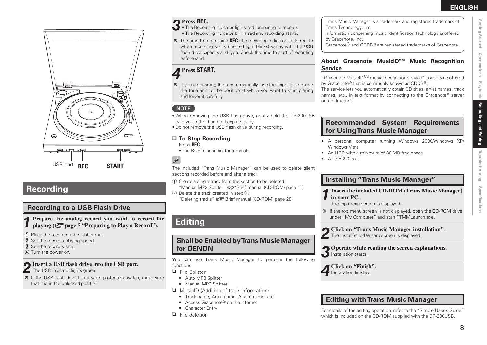

## **Recording**

#### **Recording to a USB Flash Drive**

**1 Prepare the analog record you want to record for playing (** $\mathbb{F}$  **page 5 "Preparing to Play a Record").** 

(1) Place the record on the rubber mat.

- (2) Set the record's playing speed.
- 3) Set the record's size.

#### 4 Turn the power on.

#### **2Insert a USB flash drive into the USB port.**

The USB indicator lights green.

\* If the USB flash drive has a write protection switch, make sure that it is in the unlocked position.

- **3 Press REC.** The Recording indicator lights red (preparing to record).
- The Recording indicator blinks red and recording starts.
- b The time from pressing **REC** (the recording indicator lights red) to when recording starts (the red light blinks) varies with the USB flash drive capacity and type. Check the time to start of recording beforehand.

## **4 Press START.**

 $*$  If you are starting the record manually, use the finger lift to move the tone arm to the position at which you want to start playing and lower it carefully.

#### **NOTE**

- When removing the USB flash drive, gently hold the DP-200USB with your other hand to keep it steady.
- Do not remove the USB flash drive during recording.

### □ To Stop Recording

Press **REC**.

 $\overline{a}$ 

• The Recording indicator turns off.

The included "Trans Music Manager" can be used to delete silent sections recorded before and after a track

- (1) Create a single track from the section to be deleted. "Manual MP3 Splitter" ( $\sqrt{B}$ Brief manual (CD-ROM) page 11)
- $\Omega$  Delete the track created in step  $\Omega$ .

"Deleting tracks" ( $\sqrt{B}$ Brief manual (CD-ROM) page 28)

## **Editing**

**Shall be Enabled by Trans Music Manager for DENON**

You can use Trans Music Manager to perform the following functions.

 $\Box$  File Splitter

- Auto MP3 Splitter
- Manual MP3 Splitter
- $\Box$  MusicID (Addition of track information)
	- Track name, Artist name, Album name, etc.
	- Access Gracenote® on the internet
- Character Entry
- $\Box$  File deletion

#### Trans Music Manager is a trademark and registered trademark of Trans Technology, Inc.

Information concerning music identification technology is offered by Gracenote, Inc.

Gracenote® and CDDB® are registered trademarks of Gracenote.

#### **About Gracenote MusicIDSM Music Recognition Service**

"Gracenote MusicIDSM music recognition service" is a service offered by Gracenote® that is commonly known as CDDB®.

The service lets you automatically obtain CD titles, artist names, track names, etc., in text format by connecting to the Gracenote® server on the Internet.

#### **Recommended System Requirements for Using Trans Music Manager**

- A personal computer running Windows 2000/Windows XP/ Windows Vista
- An HDD with a minimum of 30 MB free space
- A USB 2.0 port

#### **Installing "Trans Music Manager"**

**1Insert the included CD-ROM (Trans Music Manager) in your PC.**

The top menu screen is displayed.

- $*$  If the top menu screen is not displayed, open the CD-ROM drive under "My Computer" and start "TMMLaunch.exe".
- **2 Click on "Trans Music Manager installation".**
- The InstallShield Wizard screen is displayed.

**3 Operate while reading the screen explanations.** Installation starts.

**4 Click on "Finish".**

- **Installation finishes**
- **Editing with Trans Music Manager**

For details of the editing operation, refer to the "Simple User's Guide" which is included on the CD-ROM supplied with the DP-200USB.

**Specifications**

Specifications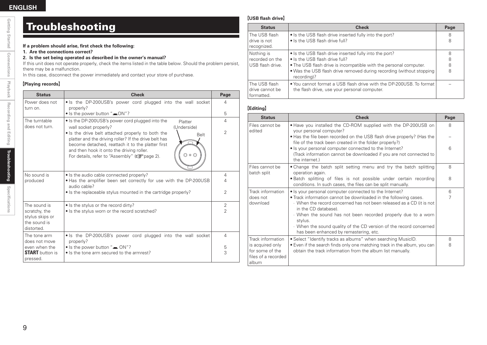Getting Started

**Connections**

Connections

## Troubleshooting

#### **If a problem should arise, first check the following:**

**1. Are the connections correct?**

#### **2. Is the set being operated as described in the owner's manual?**

If this unit does not operate properly, check the items listed in the table below. Should the problem persist, there may be a malfunction.

In this case, disconnect the power immediately and contact your store of purchase.

#### [Playing records]

| <b>Status</b>                                                  | <b>Check</b>                                                                                                                                                                                                                                                                                   | Page           |
|----------------------------------------------------------------|------------------------------------------------------------------------------------------------------------------------------------------------------------------------------------------------------------------------------------------------------------------------------------------------|----------------|
| Power does not<br>turn on.                                     | • Is the DP-200USB's power cord plugged into the wall socket<br>properly?                                                                                                                                                                                                                      | 4              |
|                                                                | • Is the power button "= ON"?                                                                                                                                                                                                                                                                  | 5              |
| The turntable                                                  | • Is the DP-200USB's power cord plugged into the<br>Platter                                                                                                                                                                                                                                    | $\overline{4}$ |
| does not turn.                                                 | (Underside)<br>wall socket properly?                                                                                                                                                                                                                                                           | $\overline{2}$ |
|                                                                | • Is the drive belt attached properly to both the<br><b>Belt</b><br>platter and the driving roller? If the drive belt has<br>become detached, reattach it to the platter first<br>and then hook it onto the driving roller.<br>For details, refer to "Assembly" ( $\sqrt{\epsilon}$ " page 2). |                |
| No sound is                                                    | • Is the audio cable connected properly?                                                                                                                                                                                                                                                       | $\overline{4}$ |
| produced                                                       | • Has the amplifier been set correctly for use with the DP-200USB<br>audio cable?                                                                                                                                                                                                              | 4              |
|                                                                | • Is the replaceable stylus mounted in the cartridge properly?                                                                                                                                                                                                                                 | $\overline{2}$ |
| The sound is                                                   | • Is the stylus or the record dirty?                                                                                                                                                                                                                                                           | $\overline{2}$ |
| scratchy, the<br>stylus skips or<br>the sound is<br>distorted. | • Is the stylus worn or the record scratched?                                                                                                                                                                                                                                                  | $\overline{2}$ |
| The tone arm<br>does not move                                  | • Is the DP-200USB's power cord plugged into the wall socket<br>properly?                                                                                                                                                                                                                      | $\overline{4}$ |
| even when the                                                  | $\bullet$ Is the power button " $\bullet$ ON"?                                                                                                                                                                                                                                                 | 5              |
| <b>START</b> button is<br>pressed.                             | • Is the tone arm secured to the armrest?                                                                                                                                                                                                                                                      | 3              |

#### **[USB flash drive]**

| <b>Status</b>                                  | <b>Check</b>                                                                                                        | Page |
|------------------------------------------------|---------------------------------------------------------------------------------------------------------------------|------|
| The USB flash                                  | • Is the USB flash drive inserted fully into the port?                                                              | 8    |
| drive is not<br>recognized.                    | • Is the USB flash drive full?                                                                                      | 8    |
| Nothing is                                     | • Is the USB flash drive inserted fully into the port?                                                              | 8    |
| recorded on the                                | • Is the USB flash drive full?                                                                                      | 8    |
| USB flash drive.                               | • The USB flash drive is incompatible with the personal computer.                                                   | 8    |
|                                                | • Was the USB flash drive removed during recording (without stopping<br>recording)?                                 | 8    |
| The USB flash<br>drive cannot be<br>formatted. | . You cannot format a USB flash drive with the DP-200USB. To format<br>the flash drive, use your personal computer. |      |

#### [Editing]

| <b>Status</b>                                                       | <b>Check</b>                                                                                                                                                     | Page   |
|---------------------------------------------------------------------|------------------------------------------------------------------------------------------------------------------------------------------------------------------|--------|
| Files cannot be<br>edited                                           | . Have you installed the CD-ROM supplied with the DP-200USB on<br>your personal computer?                                                                        | 8      |
|                                                                     | • Has the file been recorded on the USB flash drive properly? (Has the<br>file of the track been created in the folder properly?)                                |        |
|                                                                     | . Is your personal computer connected to the Internet?<br>(Track information cannot be downloaded if you are not connected to<br>the internet.)                  | 6      |
| Files cannot be<br>batch split                                      | • Change the batch split setting menu and try the batch splitting<br>operation again.<br>. Batch splitting of files is not possible under certain recording      | 8<br>8 |
|                                                                     | conditions. In such cases, the files can be split manually.                                                                                                      |        |
| Track information                                                   | • Is your personal computer connected to the Internet?                                                                                                           | 6      |
| does not<br>download                                                | • Track information cannot be downloaded in the following cases.<br>· When the record concerned has not been released as a CD (it is not<br>in the CD database). | 7      |
|                                                                     | When the sound has not been recorded properly due to a worn<br>stylus.                                                                                           |        |
|                                                                     | When the sound quality of the CD version of the record concerned<br>has been enhanced by remastering, etc.                                                       |        |
| Track information                                                   | • Select "Identify tracks as albums" when searching MusicID.                                                                                                     | 8      |
| is acquired only<br>for some of the<br>files of a recorded<br>album | • Even if the search finds only one matching track in the album, you can<br>obtain the track information from the album list manually.                           | 8      |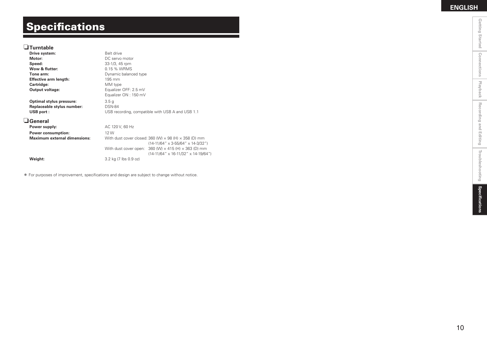**Connections**

# **Specifications**

#### n**Turntable**

| Drive system:                       | Belt drive                                                                                                                   |                                                                                                                         |
|-------------------------------------|------------------------------------------------------------------------------------------------------------------------------|-------------------------------------------------------------------------------------------------------------------------|
| Motor:                              | DC servo motor                                                                                                               |                                                                                                                         |
| Speed:                              | 33-1/3, 45 rpm                                                                                                               |                                                                                                                         |
| Wow & flutter:                      | 0.15 % WRMS                                                                                                                  |                                                                                                                         |
| Tone arm:                           | Dynamic balanced type                                                                                                        |                                                                                                                         |
| <b>Effective arm length:</b>        | $195 \text{ mm}$                                                                                                             |                                                                                                                         |
| Cartridge:                          | MM type                                                                                                                      |                                                                                                                         |
| Output voltage:                     | Equalizer OFF: 2.5 mV                                                                                                        |                                                                                                                         |
|                                     | Equalizer ON: 150 mV                                                                                                         |                                                                                                                         |
| Optimal stylus pressure:            | 3.5 <sub>g</sub>                                                                                                             |                                                                                                                         |
| Replaceable stylus number:          | <b>DSN-84</b>                                                                                                                |                                                                                                                         |
| USB port:                           | USB recording, compatible with USB A and USB 1.1                                                                             |                                                                                                                         |
| l General                           |                                                                                                                              |                                                                                                                         |
| Power supply:                       | AC 120 V, 60 Hz                                                                                                              |                                                                                                                         |
| <b>Power consumption:</b>           | 12 W<br>With dust cover closed: 360 (W) $\times$ 98 (H) $\times$ 358 (D) mm<br>$(14-11/64" \times 3-55/64" \times 14-3/32")$ |                                                                                                                         |
| <b>Maximum external dimensions:</b> |                                                                                                                              |                                                                                                                         |
|                                     |                                                                                                                              | With dust cover open: $360$ (W) $\times$ 415 (H) $\times$ 363 (D) mm<br>$(14-11/64" \times 16-11/32" \times 14-19/64")$ |
| Weight:                             | 3.2 kg (7 lbs 0.9 oz)                                                                                                        |                                                                                                                         |
|                                     |                                                                                                                              |                                                                                                                         |

\* For purposes of improvement, specifications and design are subject to change without notice.

**Recording and Editing**